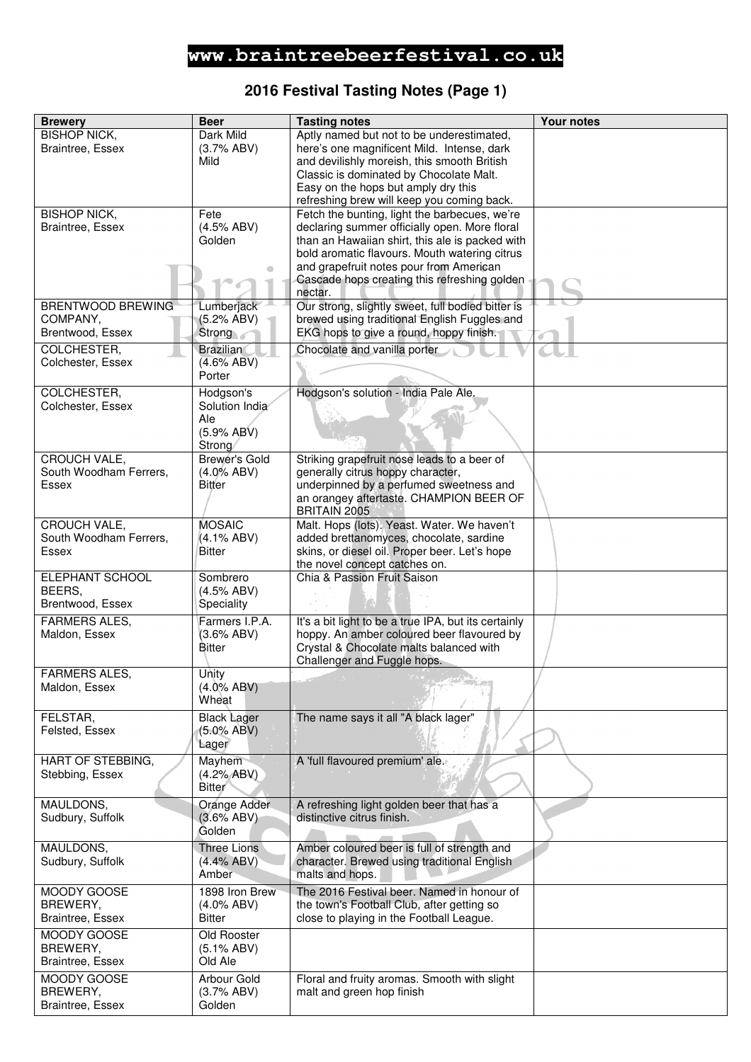## **2016 Festival Tasting Notes (Page 1)**

| <b>Brewery</b>                          | <b>Beer</b>                     | <b>Tasting notes</b>                                                                               | <b>Your notes</b> |
|-----------------------------------------|---------------------------------|----------------------------------------------------------------------------------------------------|-------------------|
| <b>BISHOP NICK,</b>                     | Dark Mild                       | Aptly named but not to be underestimated,                                                          |                   |
| Braintree, Essex                        | (3.7% ABV)                      | here's one magnificent Mild. Intense, dark                                                         |                   |
|                                         | Mild                            | and devilishly moreish, this smooth British                                                        |                   |
|                                         |                                 | Classic is dominated by Chocolate Malt.                                                            |                   |
|                                         |                                 | Easy on the hops but amply dry this                                                                |                   |
|                                         |                                 | refreshing brew will keep you coming back.                                                         |                   |
| <b>BISHOP NICK,</b><br>Braintree, Essex | Fete<br>(4.5% ABV)              | Fetch the bunting, light the barbecues, we're                                                      |                   |
|                                         | Golden                          | declaring summer officially open. More floral<br>than an Hawaiian shirt, this ale is packed with   |                   |
|                                         |                                 | bold aromatic flavours. Mouth watering citrus                                                      |                   |
|                                         |                                 | and grapefruit notes pour from American                                                            |                   |
|                                         |                                 | Cascade hops creating this refreshing golden                                                       |                   |
|                                         |                                 | nectar.                                                                                            |                   |
| <b>BRENTWOOD BREWING</b>                | Lumberjack                      | Our strong, slightly sweet, full bodied bitter is                                                  |                   |
| COMPANY,                                | (5.2% ABV)                      | brewed using traditional English Fuggles and                                                       |                   |
| Brentwood, Essex                        | Strong                          | EKG hops to give a round, hoppy finish.                                                            |                   |
| COLCHESTER,                             | <b>Brazilian</b>                | Chocolate and vanilla porter                                                                       |                   |
| Colchester, Essex                       | $(4.6\%$ ABV)                   |                                                                                                    |                   |
|                                         | Porter                          |                                                                                                    |                   |
| COLCHESTER,                             | Hodgson's                       | Hodgson's solution - India Pale Ale.                                                               |                   |
| Colchester, Essex                       | Solution India                  |                                                                                                    |                   |
|                                         | Ale                             |                                                                                                    |                   |
|                                         | (5.9% ABV)                      |                                                                                                    |                   |
| <b>CROUCH VALE,</b>                     | Strong/<br>Brewer's Gold        | Striking grapefruit nose leads to a beer of                                                        |                   |
| South Woodham Ferrers,                  | $(4.0\%$ ABV)                   | generally citrus hoppy character,                                                                  |                   |
| Essex                                   | <b>Bitter</b>                   | underpinned by a perfumed sweetness and                                                            |                   |
|                                         |                                 | an orangey aftertaste. CHAMPION BEER OF                                                            |                   |
|                                         |                                 | BRITAIN 2005                                                                                       |                   |
| <b>CROUCH VALE,</b>                     | <b>MOSAIC</b>                   | Malt. Hops (lots). Yeast. Water. We haven't                                                        |                   |
| South Woodham Ferrers,                  | (4.1% ABV)                      | added brettanomyces, chocolate, sardine                                                            |                   |
| Essex                                   | <b>Bitter</b>                   | skins, or diesel oil. Proper beer. Let's hope                                                      |                   |
|                                         |                                 | the novel concept catches on.                                                                      |                   |
| ELEPHANT SCHOOL                         | Sombrero                        | Chia & Passion Fruit Saison                                                                        |                   |
| BEERS,<br>Brentwood, Essex              | (4.5% ABV)<br>Speciality        |                                                                                                    |                   |
|                                         |                                 |                                                                                                    |                   |
| <b>FARMERS ALES,</b><br>Maldon, Essex   | Farmers I.P.A.<br>$(3.6\% ABV)$ | It's a bit light to be a true IPA, but its certainly<br>hoppy. An amber coloured beer flavoured by |                   |
|                                         | <b>Bitter</b>                   | Crystal & Chocolate malts balanced with                                                            |                   |
|                                         |                                 | Challenger and Fuggle hops.                                                                        |                   |
| <b>FARMERS ALES,</b>                    | Unity                           |                                                                                                    |                   |
| Maldon, Essex                           | $(4.0\%$ ABV)                   |                                                                                                    |                   |
|                                         | Wheat                           |                                                                                                    |                   |
| FELSTAR,                                | <b>Black Lager</b>              | The name says it all "A black lager"                                                               |                   |
| Felsted, Essex                          | $(5.0\%$ ABV)                   |                                                                                                    |                   |
|                                         | Lager                           |                                                                                                    |                   |
| <b>HART OF STEBBING,</b>                | Mayhem                          | A 'full flavoured premium' ale                                                                     |                   |
| Stebbing, Essex                         | (4.2% ABV)                      |                                                                                                    |                   |
|                                         | <b>Bitter</b>                   |                                                                                                    |                   |
| MAULDONS,                               | Orange Adder                    | A refreshing light golden beer that has a                                                          |                   |
| Sudbury, Suffolk                        | (3.6% ABV)                      | distinctive citrus finish.                                                                         |                   |
|                                         | Golden                          |                                                                                                    |                   |
| MAULDONS,                               | Three Lions                     | Amber coloured beer is full of strength and                                                        |                   |
| Sudbury, Suffolk                        | (4.4% ABV)                      | character. Brewed using traditional English                                                        |                   |
|                                         | Amber                           | malts and hops.                                                                                    |                   |
| MOODY GOOSE                             | 1898 Iron Brew                  | The 2016 Festival beer. Named in honour of                                                         |                   |
| BREWERY,                                | $(4.0\%$ ABV)                   | the town's Football Club, after getting so                                                         |                   |
| Braintree, Essex                        | <b>Bitter</b>                   | close to playing in the Football League.                                                           |                   |
| MOODY GOOSE                             | Old Rooster                     |                                                                                                    |                   |
| BREWERY,                                | $(5.1\% ABV)$                   |                                                                                                    |                   |
| <b>Braintree, Essex</b>                 | Old Ale                         |                                                                                                    |                   |
| MOODY GOOSE                             | Arbour Gold                     | Floral and fruity aromas. Smooth with slight                                                       |                   |
| BREWERY,                                | (3.7% ABV)                      | malt and green hop finish                                                                          |                   |
| Braintree, Essex                        | Golden                          |                                                                                                    |                   |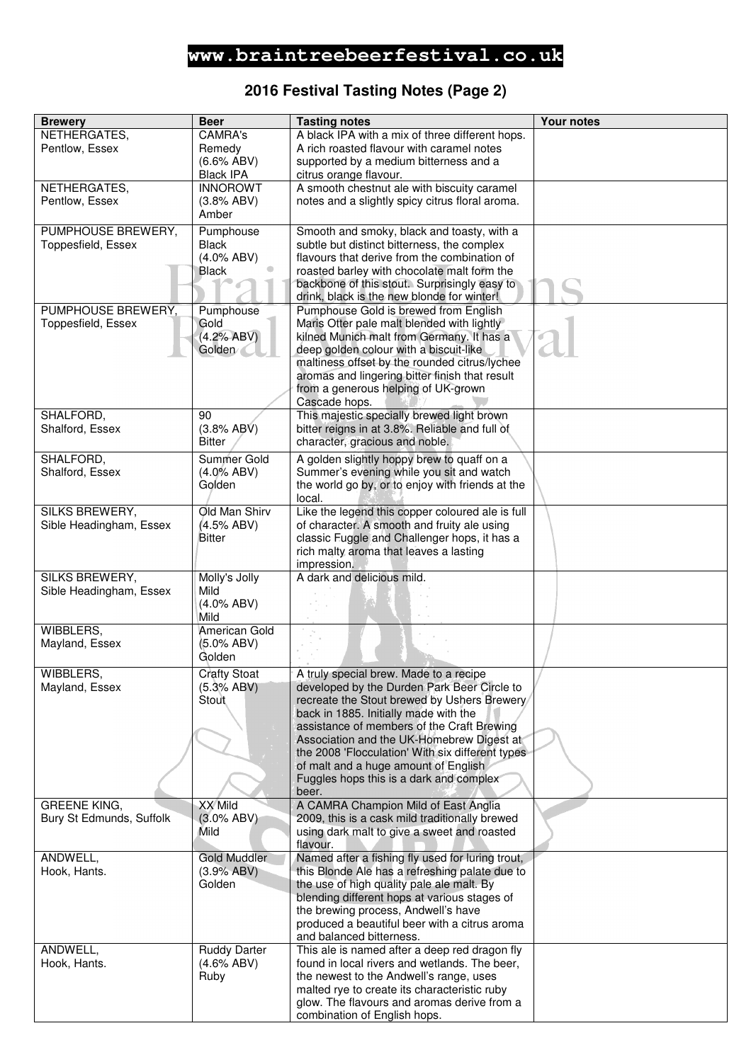## **2016 Festival Tasting Notes (Page 2)**

| <b>Brewery</b>                                  | <b>Beer</b>                   | <b>Tasting notes</b>                                                                            | <b>Your notes</b> |
|-------------------------------------------------|-------------------------------|-------------------------------------------------------------------------------------------------|-------------------|
| NETHERGATES,                                    | <b>CAMRA's</b>                | A black IPA with a mix of three different hops.                                                 |                   |
| Pentlow, Essex                                  | Remedy                        | A rich roasted flavour with caramel notes                                                       |                   |
|                                                 | $(6.6\%$ ABV)                 | supported by a medium bitterness and a                                                          |                   |
|                                                 | <b>Black IPA</b>              | citrus orange flavour.                                                                          |                   |
| NETHERGATES,                                    | <b>INNOROWT</b>               | A smooth chestnut ale with biscuity caramel                                                     |                   |
| Pentlow, Essex                                  | (3.8% ABV)                    | notes and a slightly spicy citrus floral aroma.                                                 |                   |
|                                                 | Amber                         |                                                                                                 |                   |
| PUMPHOUSE BREWERY,                              | Pumphouse                     | Smooth and smoky, black and toasty, with a                                                      |                   |
| Toppesfield, Essex                              | <b>Black</b><br>$(4.0\%$ ABV) | subtle but distinct bitterness, the complex<br>flavours that derive from the combination of     |                   |
|                                                 | <b>Black</b>                  | roasted barley with chocolate malt form the                                                     |                   |
|                                                 |                               | backbone of this stout. Surprisingly easy to                                                    |                   |
|                                                 |                               | drink, black is the new blonde for winter!                                                      |                   |
| PUMPHOUSE BREWERY,                              | Pumphouse                     | Pumphouse Gold is brewed from English                                                           |                   |
| Toppesfield, Essex                              | Gold                          | Maris Otter pale malt blended with lightly                                                      |                   |
|                                                 | (4.2% ABV)                    | kilned Munich malt from Germany. It has a                                                       |                   |
|                                                 | Golden                        | deep golden colour with a biscuit-like                                                          |                   |
|                                                 |                               | maltiness offset by the rounded citrus/lychee<br>aromas and lingering bitter finish that result |                   |
|                                                 |                               | from a generous helping of UK-grown                                                             |                   |
|                                                 |                               | Cascade hops.                                                                                   |                   |
| SHALFORD,                                       | 90                            | This majestic specially brewed light brown                                                      |                   |
| Shalford, Essex                                 | (3.8% ABV)                    | bitter reigns in at 3.8%. Reliable and full of                                                  |                   |
|                                                 | <b>Bitter</b>                 | character, gracious and noble.                                                                  |                   |
| SHALFORD,                                       | Summer Gold                   | A golden slightly hoppy brew to quaff on a                                                      |                   |
| Shalford, Essex                                 | $(4.0\%$ ABV)                 | Summer's evening while you sit and watch                                                        |                   |
|                                                 | Golden                        | the world go by, or to enjoy with friends at the                                                |                   |
|                                                 |                               | local.                                                                                          |                   |
| <b>SILKS BREWERY,</b>                           | Old Man Shirv                 | Like the legend this copper coloured ale is full                                                |                   |
| Sible Headingham, Essex                         | (4.5% ABV)                    | of character. A smooth and fruity ale using                                                     |                   |
|                                                 | Bitter                        | classic Fuggle and Challenger hops, it has a<br>rich malty aroma that leaves a lasting          |                   |
|                                                 |                               | impression.                                                                                     |                   |
| <b>SILKS BREWERY,</b>                           | Molly's Jolly                 | A dark and delicious mild.                                                                      |                   |
| Sible Headingham, Essex                         | Mild                          |                                                                                                 |                   |
|                                                 | $(4.0\%$ ABV)                 |                                                                                                 |                   |
|                                                 | Mild                          |                                                                                                 |                   |
| WIBBLERS,                                       | American Gold                 |                                                                                                 |                   |
| Mayland, Essex                                  | (5.0% ABV)                    |                                                                                                 |                   |
|                                                 | Golden                        |                                                                                                 |                   |
| WIBBLERS,                                       | <b>Crafty Stoat</b>           | A truly special brew. Made to a recipe                                                          |                   |
| Mayland, Essex                                  | (5.3% ABV)                    | developed by the Durden Park Beer Circle to                                                     |                   |
|                                                 | Stout                         | recreate the Stout brewed by Ushers Brewery/<br>back in 1885. Initially made with the           |                   |
|                                                 |                               | assistance of members of the Craft Brewing                                                      |                   |
|                                                 |                               | Association and the UK-Homebrew Digest at                                                       |                   |
|                                                 |                               | the 2008 'Flocculation' With six different types                                                |                   |
|                                                 |                               | of malt and a huge amount of English                                                            |                   |
|                                                 |                               | Fuggles hops this is a dark and complex                                                         |                   |
|                                                 |                               | beer.                                                                                           |                   |
| <b>GREENE KING,</b><br>Bury St Edmunds, Suffolk | XX Mild                       | A CAMRA Champion Mild of East Anglia<br>2009, this is a cask mild traditionally brewed          |                   |
|                                                 | $(3.0\%$ ABV)<br>Mild         | using dark malt to give a sweet and roasted                                                     |                   |
|                                                 |                               | flavour.                                                                                        |                   |
| ANDWELL,                                        | <b>Gold Muddler</b>           | Named after a fishing fly used for luring trout,                                                |                   |
| Hook, Hants.                                    | (3.9% ABV)                    | this Blonde Ale has a refreshing palate due to                                                  |                   |
|                                                 | Golden                        | the use of high quality pale ale malt. By                                                       |                   |
|                                                 |                               | blending different hops at various stages of                                                    |                   |
|                                                 |                               | the brewing process, Andwell's have                                                             |                   |
|                                                 |                               | produced a beautiful beer with a citrus aroma                                                   |                   |
| ANDWELL,                                        | <b>Ruddy Darter</b>           | and balanced bitterness.<br>This ale is named after a deep red dragon fly                       |                   |
| Hook, Hants.                                    | $(4.6\%$ ABV)                 | found in local rivers and wetlands. The beer,                                                   |                   |
|                                                 | Ruby                          | the newest to the Andwell's range, uses                                                         |                   |
|                                                 |                               | malted rye to create its characteristic ruby                                                    |                   |
|                                                 |                               | glow. The flavours and aromas derive from a                                                     |                   |
|                                                 |                               | combination of English hops.                                                                    |                   |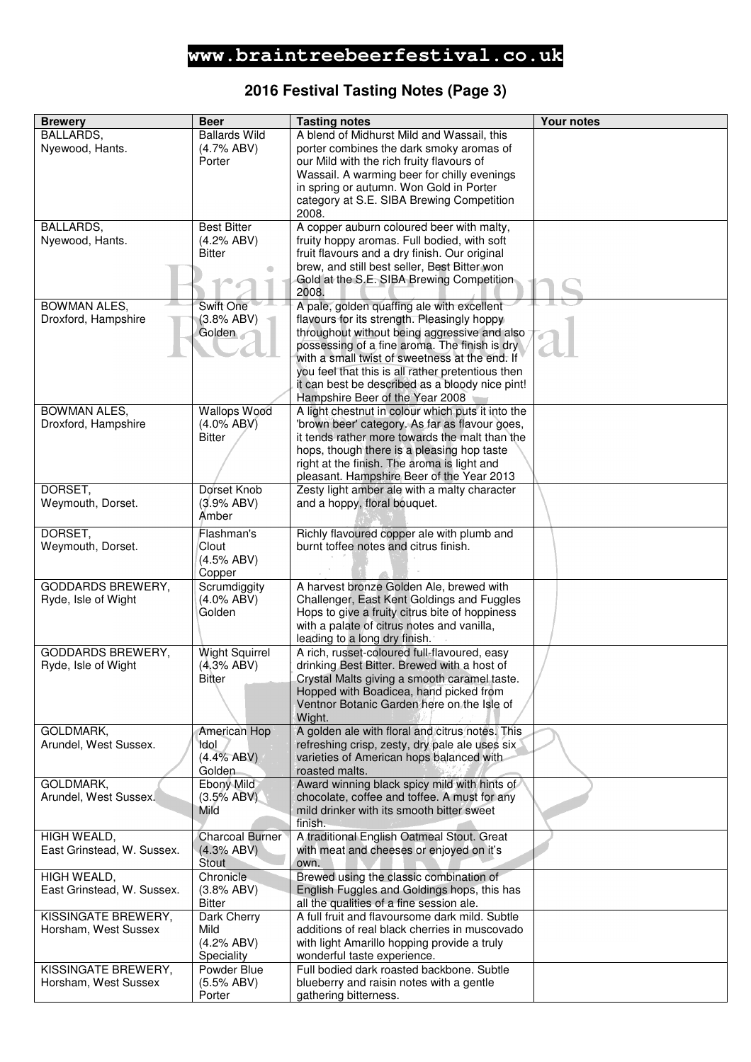### **2016 Festival Tasting Notes (Page 3)**

| <b>Brewery</b>                                  | <b>Beer</b>                         | <b>Tasting notes</b>                                                                             | <b>Your notes</b> |
|-------------------------------------------------|-------------------------------------|--------------------------------------------------------------------------------------------------|-------------------|
| BALLARDS,                                       | <b>Ballards Wild</b>                | A blend of Midhurst Mild and Wassail, this                                                       |                   |
| Nyewood, Hants.                                 | (4.7% ABV)                          | porter combines the dark smoky aromas of                                                         |                   |
|                                                 | Porter                              | our Mild with the rich fruity flavours of                                                        |                   |
|                                                 |                                     | Wassail. A warming beer for chilly evenings                                                      |                   |
|                                                 |                                     | in spring or autumn. Won Gold in Porter                                                          |                   |
|                                                 |                                     | category at S.E. SIBA Brewing Competition                                                        |                   |
|                                                 |                                     | 2008.                                                                                            |                   |
| BALLARDS,                                       | <b>Best Bitter</b>                  | A copper auburn coloured beer with malty,                                                        |                   |
| Nyewood, Hants.                                 | (4.2% ABV)                          | fruity hoppy aromas. Full bodied, with soft                                                      |                   |
|                                                 | <b>Bitter</b>                       | fruit flavours and a dry finish. Our original<br>brew, and still best seller, Best Bitter won    |                   |
|                                                 |                                     | Gold at the S.E. SIBA Brewing Competition                                                        |                   |
|                                                 |                                     | 2008.                                                                                            |                   |
| <b>BOWMAN ALES,</b>                             | Swift One                           | A pale, golden quaffing ale with excellent                                                       |                   |
| Droxford, Hampshire                             | (3.8% ABV)                          | flavours for its strength. Pleasingly hoppy                                                      |                   |
|                                                 | Golden                              | throughout without being aggressive and also                                                     |                   |
|                                                 |                                     | possessing of a fine aroma. The finish is dry                                                    |                   |
|                                                 |                                     | with a small twist of sweetness at the end. If                                                   |                   |
|                                                 |                                     | you feel that this is all rather pretentious then                                                |                   |
|                                                 |                                     | it can best be described as a bloody nice pint!                                                  |                   |
|                                                 |                                     | Hampshire Beer of the Year 2008                                                                  |                   |
| <b>BOWMAN ALES,</b>                             | <b>Wallops Wood</b>                 | A light chestnut in colour which puts it into the                                                |                   |
| Droxford, Hampshire                             | $(4.0\%$ ABV)<br><b>Bitter</b>      | 'brown beer' category. As far as flavour goes,<br>it tends rather more towards the malt than the |                   |
|                                                 |                                     | hops, though there is a pleasing hop taste                                                       |                   |
|                                                 |                                     | right at the finish. The aroma is light and                                                      |                   |
|                                                 |                                     | pleasant. Hampshire Beer of the Year 2013                                                        |                   |
| DORSET,                                         | Dorset Knob                         | Zesty light amber ale with a malty character                                                     |                   |
| Weymouth, Dorset.                               | (3.9% ABV)                          | and a hoppy, floral bouquet.                                                                     |                   |
|                                                 | Amber                               |                                                                                                  |                   |
| DORSET,                                         | Flashman's                          | Richly flavoured copper ale with plumb and                                                       |                   |
| Weymouth, Dorset.                               | Clout                               | burnt toffee notes and citrus finish.                                                            |                   |
|                                                 | (4.5% ABV)                          |                                                                                                  |                   |
|                                                 | Copper                              |                                                                                                  |                   |
| <b>GODDARDS BREWERY,</b>                        | Scrumdiggity                        | A harvest bronze Golden Ale, brewed with                                                         |                   |
| Ryde, Isle of Wight                             | $(4.0\%$ ABV)                       | Challenger, East Kent Goldings and Fuggles                                                       |                   |
|                                                 | Golden                              | Hops to give a fruity citrus bite of hoppiness                                                   |                   |
|                                                 |                                     | with a palate of citrus notes and vanilla,                                                       |                   |
|                                                 |                                     | leading to a long dry finish.                                                                    |                   |
| <b>GODDARDS BREWERY,</b><br>Ryde, Isle of Wight | <b>Wight Squirrel</b><br>(4.3% ABV) | A rich, russet-coloured full-flavoured, easy<br>drinking Best Bitter. Brewed with a host of      |                   |
|                                                 | Bitter                              | Crystal Malts giving a smooth caramel taste.                                                     |                   |
|                                                 |                                     | Hopped with Boadicea, hand picked from                                                           |                   |
|                                                 |                                     | Ventnor Botanic Garden here on the Isle of                                                       |                   |
|                                                 |                                     | Wight.                                                                                           |                   |
| GOLDMARK,                                       | American Hop                        | A golden ale with floral and citrus notes. This                                                  |                   |
| Arundel, West Sussex.                           | Idol                                | refreshing crisp, zesty, dry pale ale uses six                                                   |                   |
|                                                 | (4.4% ABV)                          | varieties of American hops balanced with                                                         |                   |
|                                                 | Golden                              | roasted malts.                                                                                   |                   |
| GOLDMARK,                                       | <b>Ebony Mild</b>                   | Award winning black spicy mild with hints of                                                     |                   |
| Arundel, West Sussex.                           | (3.5% ABV)                          | chocolate, coffee and toffee. A must for any                                                     |                   |
|                                                 | Mild                                | mild drinker with its smooth bitter sweet<br>finish.                                             |                   |
| HIGH WEALD,                                     | <b>Charcoal Burner</b>              | A traditional English Oatmeal Stout. Great                                                       |                   |
| East Grinstead, W. Sussex.                      | (4.3% ABV)                          | with meat and cheeses or enjoyed on it's                                                         |                   |
|                                                 | Stout                               | own.                                                                                             |                   |
| HIGH WEALD,                                     | Chronicle                           | Brewed using the classic combination of                                                          |                   |
| East Grinstead, W. Sussex.                      | (3.8% ABV)                          | English Fuggles and Goldings hops, this has                                                      |                   |
|                                                 | <b>Bitter</b>                       | all the qualities of a fine session ale.                                                         |                   |
| KISSINGATE BREWERY,                             | Dark Cherry                         | A full fruit and flavoursome dark mild. Subtle                                                   |                   |
| Horsham, West Sussex                            | Mild                                | additions of real black cherries in muscovado                                                    |                   |
|                                                 | (4.2% ABV)                          | with light Amarillo hopping provide a truly                                                      |                   |
|                                                 | Speciality                          | wonderful taste experience.                                                                      |                   |
| KISSINGATE BREWERY,                             | Powder Blue                         | Full bodied dark roasted backbone. Subtle                                                        |                   |
| Horsham, West Sussex                            | (5.5% ABV)<br>Porter                | blueberry and raisin notes with a gentle<br>gathering bitterness.                                |                   |
|                                                 |                                     |                                                                                                  |                   |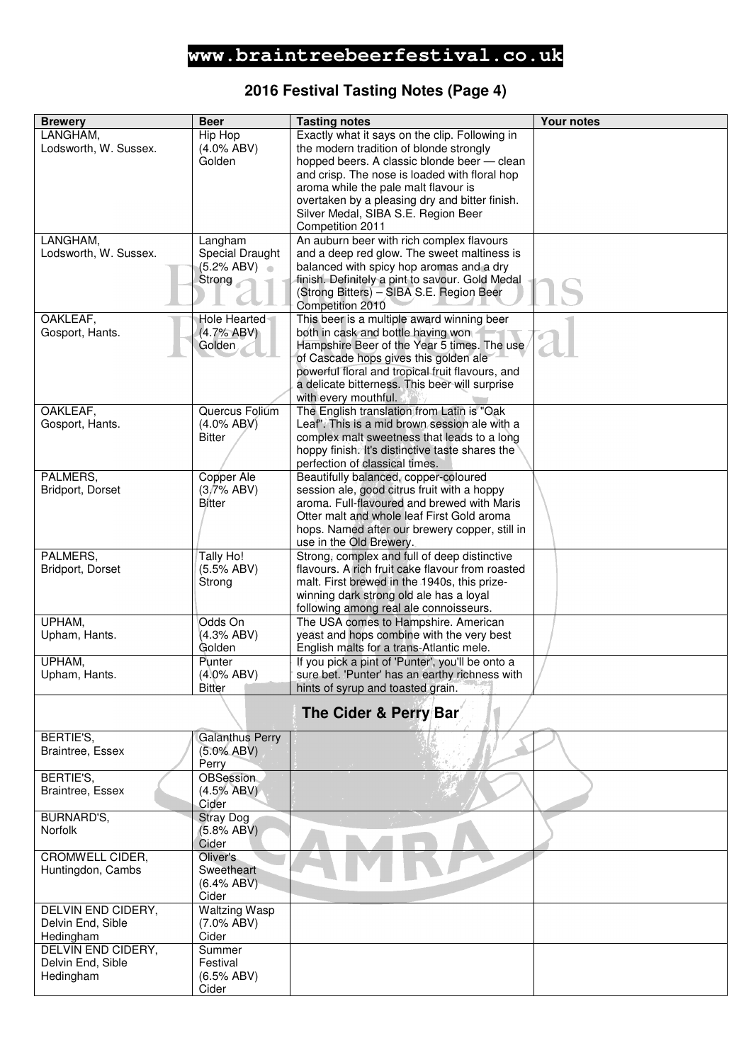### **2016 Festival Tasting Notes (Page 4)**

| <b>Brewery</b>                    | <b>Beer</b>                | <b>Tasting notes</b>                                                                      | <b>Your notes</b> |
|-----------------------------------|----------------------------|-------------------------------------------------------------------------------------------|-------------------|
| LANGHAM,                          | Hip Hop                    | Exactly what it says on the clip. Following in                                            |                   |
| Lodsworth, W. Sussex.             | $(4.0\%$ ABV)              | the modern tradition of blonde strongly                                                   |                   |
|                                   | Golden                     | hopped beers. A classic blonde beer - clean                                               |                   |
|                                   |                            | and crisp. The nose is loaded with floral hop                                             |                   |
|                                   |                            | aroma while the pale malt flavour is                                                      |                   |
|                                   |                            | overtaken by a pleasing dry and bitter finish.                                            |                   |
|                                   |                            | Silver Medal, SIBA S.E. Region Beer                                                       |                   |
|                                   |                            | Competition 2011                                                                          |                   |
| LANGHAM,<br>Lodsworth, W. Sussex. | Langham<br>Special Draught | An auburn beer with rich complex flavours<br>and a deep red glow. The sweet maltiness is  |                   |
|                                   | (5.2% ABV)                 | balanced with spicy hop aromas and a dry                                                  |                   |
|                                   | Strong                     | finish. Definitely a pint to savour. Gold Medal                                           |                   |
|                                   |                            | (Strong Bitters) - SIBA S.E. Region Beer                                                  |                   |
|                                   |                            | Competition 2010                                                                          |                   |
| OAKLEAF,                          | Hole Hearted               | This beer is a multiple award winning beer                                                |                   |
| Gosport, Hants.                   | (4.7% ABV)                 | both in cask and bottle having won                                                        |                   |
|                                   | Golden                     | Hampshire Beer of the Year 5 times. The use                                               |                   |
|                                   |                            | of Cascade hops gives this golden ale                                                     |                   |
|                                   |                            | powerful floral and tropical fruit flavours, and                                          |                   |
|                                   |                            | a delicate bitterness. This beer will surprise<br>with every mouthful.                    |                   |
| OAKLEAF,                          | Quercus Folium             | The English translation from Latin is "Oak                                                |                   |
| Gosport, Hants.                   | $(4.0\%$ ABV)              | Leaf". This is a mid brown session ale with a                                             |                   |
|                                   | Bitter                     | complex malt sweetness that leads to a long                                               |                   |
|                                   |                            | hoppy finish. It's distinctive taste shares the                                           |                   |
|                                   |                            | perfection of classical times.                                                            |                   |
| PALMERS,                          | Copper Ale                 | Beautifully balanced, copper-coloured                                                     |                   |
| Bridport, Dorset                  | (3.7% ABV)                 | session ale, good citrus fruit with a hoppy                                               |                   |
|                                   | Bitter                     | aroma. Full-flavoured and brewed with Maris<br>Otter malt and whole leaf First Gold aroma |                   |
|                                   |                            | hops. Named after our brewery copper, still in                                            |                   |
|                                   |                            | use in the Old Brewery.                                                                   |                   |
| PALMERS,                          | Tally Ho!                  | Strong, complex and full of deep distinctive                                              |                   |
| Bridport, Dorset                  | (5.5% ABV)                 | flavours. A rich fruit cake flavour from roasted                                          |                   |
|                                   | Strong                     | malt. First brewed in the 1940s, this prize-                                              |                   |
|                                   |                            | winning dark strong old ale has a loyal                                                   |                   |
| UPHAM,                            |                            | following among real ale connoisseurs.                                                    |                   |
| Upham, Hants.                     | Odds On<br>(4.3% ABV)      | The USA comes to Hampshire. American<br>yeast and hops combine with the very best         |                   |
|                                   | Golden                     | English malts for a trans-Atlantic mele.                                                  |                   |
| UPHAM,                            | Punter                     | If you pick a pint of 'Punter', you'll be onto a                                          |                   |
| Upham, Hants.                     | $(4.0\%$ ABV)              | sure bet. 'Punter' has an earthy richness with                                            |                   |
|                                   | <b>Bitter</b>              | hints of syrup and toasted grain.                                                         |                   |
|                                   |                            | The Cider & Perry Bar                                                                     |                   |
|                                   |                            |                                                                                           |                   |
| BERTIE'S,                         | <b>Galanthus Perry</b>     |                                                                                           |                   |
| Braintree, Essex                  | $(5.0\%$ ABV)              |                                                                                           |                   |
|                                   | Perry                      |                                                                                           |                   |
| BERTIE'S,<br>Braintree, Essex     | OBSession<br>(4.5% ABV)    |                                                                                           |                   |
|                                   | Cider                      |                                                                                           |                   |
| BURNARD'S,                        | <b>Stray Dog</b>           |                                                                                           |                   |
| <b>Norfolk</b>                    | (5.8% ABV)                 |                                                                                           |                   |
|                                   | Cider                      |                                                                                           |                   |
| CROMWELL CIDER,                   | Oliver's                   |                                                                                           |                   |
| Huntingdon, Cambs                 | Sweetheart                 |                                                                                           |                   |
|                                   | $(6.4\%$ ABV)<br>Cider     |                                                                                           |                   |
| DELVIN END CIDERY,                | <b>Waltzing Wasp</b>       |                                                                                           |                   |
| Delvin End, Sible                 | $(7.0\%$ ABV)              |                                                                                           |                   |
| Hedingham                         | Cider                      |                                                                                           |                   |
| <b>DELVIN END CIDERY,</b>         | Summer                     |                                                                                           |                   |
| Delvin End, Sible                 | Festival                   |                                                                                           |                   |
| Hedingham                         | (6.5% ABV)                 |                                                                                           |                   |
|                                   | Cider                      |                                                                                           |                   |